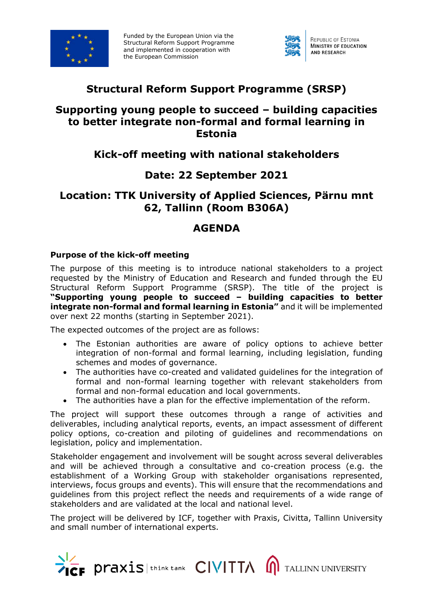

Funded by the European Union via the Structural Reform Support Programme and implemented in cooperation with the European Commission



# **Structural Reform Support Programme (SRSP)**

## **Supporting young people to succeed – building capacities to better integrate non-formal and formal learning in Estonia**

# **Kick-off meeting with national stakeholders**

## **Date: 22 September 2021**

# **Location: TTK University of Applied Sciences, Pärnu mnt 62, Tallinn (Room B306A)**

## **AGENDA**

#### **Purpose of the kick-off meeting**

The purpose of this meeting is to introduce national stakeholders to a project requested by the Ministry of Education and Research and funded through the EU Structural Reform Support Programme (SRSP). The title of the project is **"Supporting young people to succeed – building capacities to better integrate non-formal and formal learning in Estonia"** and it will be implemented over next 22 months (starting in September 2021).

The expected outcomes of the project are as follows:

- The Estonian authorities are aware of policy options to achieve better integration of non-formal and formal learning, including legislation, funding schemes and modes of governance.
- The authorities have co-created and validated guidelines for the integration of formal and non-formal learning together with relevant stakeholders from formal and non-formal education and local governments.
- The authorities have a plan for the effective implementation of the reform.

The project will support these outcomes through a range of activities and deliverables, including analytical reports, events, an impact assessment of different policy options, co-creation and piloting of guidelines and recommendations on legislation, policy and implementation.

Stakeholder engagement and involvement will be sought across several deliverables and will be achieved through a consultative and co-creation process (e.g. the establishment of a Working Group with stakeholder organisations represented, interviews, focus groups and events). This will ensure that the recommendations and guidelines from this project reflect the needs and requirements of a wide range of stakeholders and are validated at the local and national level.

The project will be delivered by ICF, together with Praxis, Civitta, Tallinn University and small number of international experts.

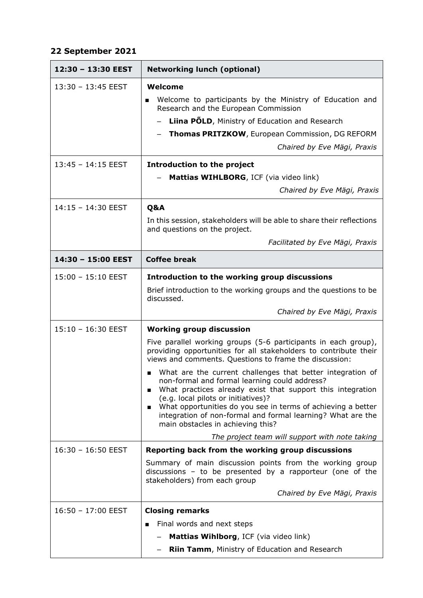#### **22 September 2021**

| 12:30 - 13:30 EEST   | <b>Networking lunch (optional)</b>                                                                                                                                                                                                                                                                                                                                                                                       |
|----------------------|--------------------------------------------------------------------------------------------------------------------------------------------------------------------------------------------------------------------------------------------------------------------------------------------------------------------------------------------------------------------------------------------------------------------------|
| $13:30 - 13:45$ EEST | Welcome                                                                                                                                                                                                                                                                                                                                                                                                                  |
|                      | Welcome to participants by the Ministry of Education and<br>Research and the European Commission                                                                                                                                                                                                                                                                                                                         |
|                      | Liina PÕLD, Ministry of Education and Research                                                                                                                                                                                                                                                                                                                                                                           |
|                      | <b>Thomas PRITZKOW, European Commission, DG REFORM</b>                                                                                                                                                                                                                                                                                                                                                                   |
|                      | Chaired by Eve Mägi, Praxis                                                                                                                                                                                                                                                                                                                                                                                              |
| $13:45 - 14:15$ EEST | Introduction to the project                                                                                                                                                                                                                                                                                                                                                                                              |
|                      | Mattias WIHLBORG, ICF (via video link)                                                                                                                                                                                                                                                                                                                                                                                   |
|                      | Chaired by Eve Mägi, Praxis                                                                                                                                                                                                                                                                                                                                                                                              |
| 14:15 - 14:30 EEST   | Q&A                                                                                                                                                                                                                                                                                                                                                                                                                      |
|                      | In this session, stakeholders will be able to share their reflections<br>and questions on the project.                                                                                                                                                                                                                                                                                                                   |
|                      | Facilitated by Eve Mägi, Praxis                                                                                                                                                                                                                                                                                                                                                                                          |
| 14:30 - 15:00 EEST   | <b>Coffee break</b>                                                                                                                                                                                                                                                                                                                                                                                                      |
| $15:00 - 15:10$ EEST | Introduction to the working group discussions                                                                                                                                                                                                                                                                                                                                                                            |
|                      | Brief introduction to the working groups and the questions to be<br>discussed.                                                                                                                                                                                                                                                                                                                                           |
|                      | Chaired by Eve Mägi, Praxis                                                                                                                                                                                                                                                                                                                                                                                              |
| 15:10 - 16:30 EEST   | <b>Working group discussion</b>                                                                                                                                                                                                                                                                                                                                                                                          |
|                      | Five parallel working groups (5-6 participants in each group),<br>providing opportunities for all stakeholders to contribute their<br>views and comments. Questions to frame the discussion:                                                                                                                                                                                                                             |
|                      | What are the current challenges that better integration of<br>non-formal and formal learning could address?<br>What practices already exist that support this integration<br>$\blacksquare$<br>(e.g. local pilots or initiatives)?<br>What opportunities do you see in terms of achieving a better<br>$\blacksquare$<br>integration of non-formal and formal learning? What are the<br>main obstacles in achieving this? |
|                      | The project team will support with note taking                                                                                                                                                                                                                                                                                                                                                                           |
| $16:30 - 16:50$ EEST | Reporting back from the working group discussions                                                                                                                                                                                                                                                                                                                                                                        |
|                      | Summary of main discussion points from the working group<br>discussions $-$ to be presented by a rapporteur (one of the<br>stakeholders) from each group                                                                                                                                                                                                                                                                 |
|                      | Chaired by Eve Mägi, Praxis                                                                                                                                                                                                                                                                                                                                                                                              |
| 16:50 - 17:00 EEST   | <b>Closing remarks</b>                                                                                                                                                                                                                                                                                                                                                                                                   |
|                      | Final words and next steps                                                                                                                                                                                                                                                                                                                                                                                               |
|                      | Mattias Wihlborg, ICF (via video link)                                                                                                                                                                                                                                                                                                                                                                                   |
|                      | <b>Riin Tamm, Ministry of Education and Research</b>                                                                                                                                                                                                                                                                                                                                                                     |